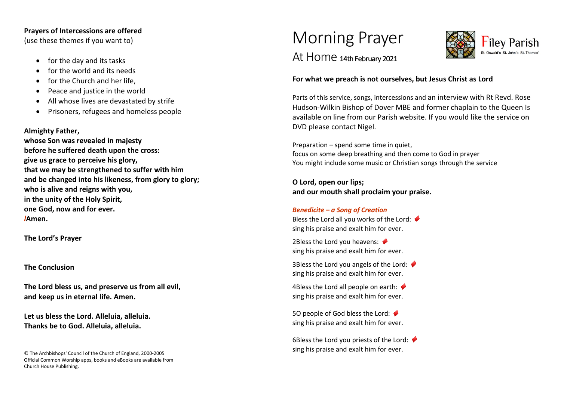#### **Prayers of Intercessions are offered**

(use these themes if you want to)

- for the day and its tasks
- for the world and its needs
- for the Church and her life.
- Peace and justice in the world
- All whose lives are devastated by strife
- Prisoners, refugees and homeless people

#### **Almighty Father,**

**whose Son was revealed in majesty before he suffered death upon the cross: give us grace to perceive his glory, that we may be strengthened to suffer with him and be changed into his likeness, from glory to glory; who is alive and reigns with you, in the unity of the Holy Spirit, one God, now and for ever.** *l***Amen.**

**The Lord's Prayer** 

#### **The Conclusion**

**The Lord bless us, and preserve us from all evil, and keep us in eternal life. Amen.**

**Let us bless the Lord. Alleluia, alleluia. Thanks be to God. Alleluia, alleluia.**

© The Archbishops' Council of the Church of England, 2000-2005 Official Common Worship apps, books and eBooks are available from Church House Publishing.

# Morning Prayer



## At Home 14th February 2021

#### **For what we preach is not ourselves, but Jesus Christ as Lord**

Parts of this service, songs, intercessions and an interview with Rt Revd. Rose Hudson-Wilkin Bishop of Dover MBE and former chaplain to the Queen Is available on line from our Parish website. If you would like the service on DVD please contact Nigel.

Preparation – spend some time in quiet, focus on some deep breathing and then come to God in prayer You might include some music or Christian songs through the service

**O Lord, open our lips; and our mouth shall proclaim your praise.**

#### *Benedicite – a Song of Creation*

Bless the Lord all you works of the Lord:  $\blacklozenge$ sing his praise and exalt him for ever. ♦

2Bless the Lord you heavens: sing his praise and exalt him for ever. ♦

3Bless the Lord you angels of the Lord:  $\blacklozenge$ sing his praise and exalt him for ever. ♦

4Bless the Lord all people on earth:  $\blacklozenge$ sing his praise and exalt him for ever. ♦

5O people of God bless the Lord: ♦ sing his praise and exalt him for ever. ♦

6Bless the Lord you priests of the Lord:  $\blacklozenge$ sing his praise and exalt him for ever.